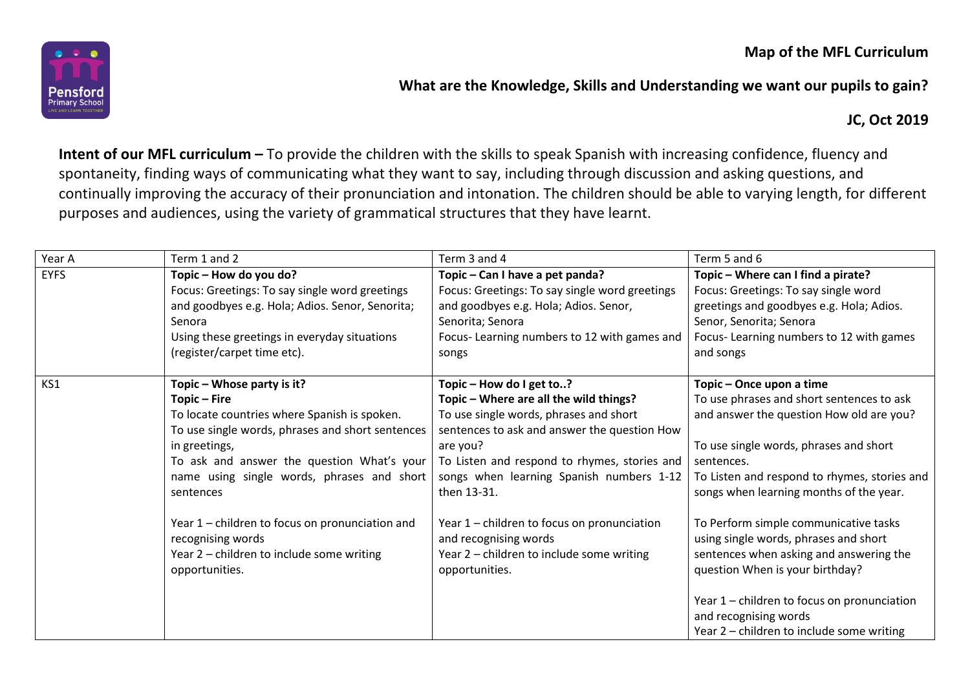

**What are the Knowledge, Skills and Understanding we want our pupils to gain?** 

**JC, Oct 2019**

**Intent of our MFL curriculum –** To provide the children with the skills to speak Spanish with increasing confidence, fluency and spontaneity, finding ways of communicating what they want to say, including through discussion and asking questions, and continually improving the accuracy of their pronunciation and intonation. The children should be able to varying length, for different purposes and audiences, using the variety of grammatical structures that they have learnt.

| Year A      | Term 1 and 2                                     | Term 3 and 4                                   | Term 5 and 6                                 |
|-------------|--------------------------------------------------|------------------------------------------------|----------------------------------------------|
| <b>EYFS</b> | Topic - How do you do?                           | Topic - Can I have a pet panda?                | Topic - Where can I find a pirate?           |
|             | Focus: Greetings: To say single word greetings   | Focus: Greetings: To say single word greetings | Focus: Greetings: To say single word         |
|             | and goodbyes e.g. Hola; Adios. Senor, Senorita;  | and goodbyes e.g. Hola; Adios. Senor,          | greetings and goodbyes e.g. Hola; Adios.     |
|             | Senora                                           | Senorita; Senora                               | Senor, Senorita; Senora                      |
|             | Using these greetings in everyday situations     | Focus- Learning numbers to 12 with games and   | Focus-Learning numbers to 12 with games      |
|             | (register/carpet time etc).                      | songs                                          | and songs                                    |
| KS1         | Topic - Whose party is it?                       | Topic - How do I get to?                       | Topic - Once upon a time                     |
|             | Topic – Fire                                     | Topic - Where are all the wild things?         | To use phrases and short sentences to ask    |
|             | To locate countries where Spanish is spoken.     | To use single words, phrases and short         | and answer the question How old are you?     |
|             | To use single words, phrases and short sentences | sentences to ask and answer the question How   |                                              |
|             | in greetings,                                    | are you?                                       | To use single words, phrases and short       |
|             | To ask and answer the question What's your       | To Listen and respond to rhymes, stories and   | sentences.                                   |
|             | name using single words, phrases and short       | songs when learning Spanish numbers 1-12       | To Listen and respond to rhymes, stories and |
|             | sentences                                        | then 13-31.                                    | songs when learning months of the year.      |
|             | Year 1 - children to focus on pronunciation and  | Year 1 - children to focus on pronunciation    | To Perform simple communicative tasks        |
|             | recognising words                                | and recognising words                          | using single words, phrases and short        |
|             | Year 2 - children to include some writing        | Year 2 - children to include some writing      | sentences when asking and answering the      |
|             | opportunities.                                   | opportunities.                                 | question When is your birthday?              |
|             |                                                  |                                                | Year 1 - children to focus on pronunciation  |
|             |                                                  |                                                | and recognising words                        |
|             |                                                  |                                                | Year 2 – children to include some writing    |
|             |                                                  |                                                |                                              |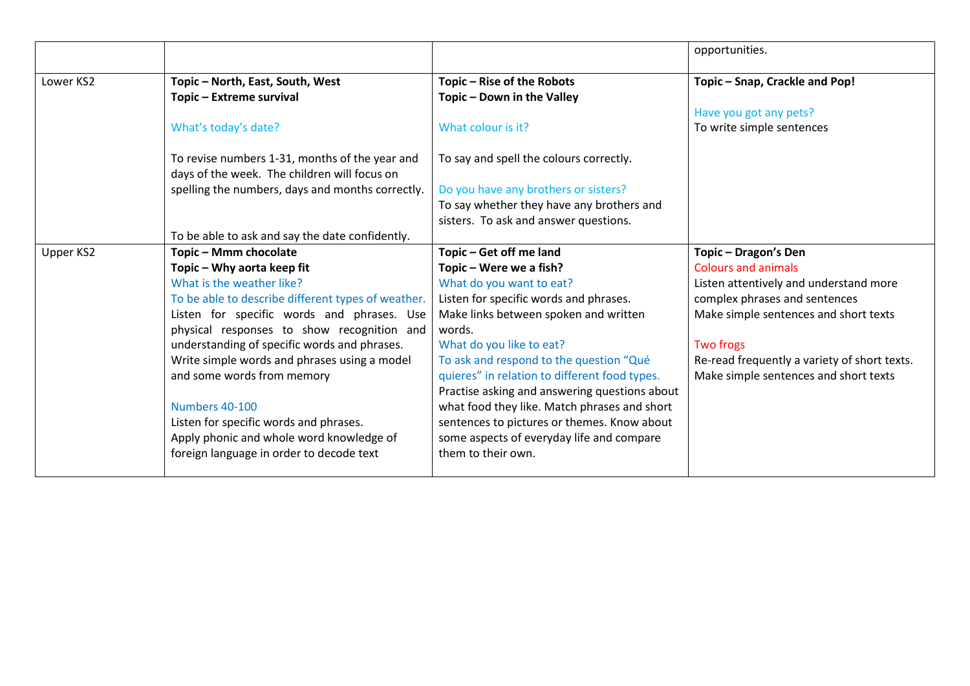|           |                                                    |                                               | opportunities.                               |
|-----------|----------------------------------------------------|-----------------------------------------------|----------------------------------------------|
|           |                                                    |                                               |                                              |
| Lower KS2 | Topic - North, East, South, West                   | Topic - Rise of the Robots                    | Topic - Snap, Crackle and Pop!               |
|           | Topic - Extreme survival                           | Topic - Down in the Valley                    |                                              |
|           |                                                    |                                               | Have you got any pets?                       |
|           | What's today's date?                               | What colour is it?                            | To write simple sentences                    |
|           |                                                    |                                               |                                              |
|           | To revise numbers 1-31, months of the year and     | To say and spell the colours correctly.       |                                              |
|           | days of the week. The children will focus on       |                                               |                                              |
|           | spelling the numbers, days and months correctly.   | Do you have any brothers or sisters?          |                                              |
|           |                                                    | To say whether they have any brothers and     |                                              |
|           |                                                    | sisters. To ask and answer questions.         |                                              |
|           | To be able to ask and say the date confidently.    |                                               |                                              |
| Upper KS2 | Topic - Mmm chocolate                              | Topic - Get off me land                       | Topic - Dragon's Den                         |
|           | Topic - Why aorta keep fit                         | Topic - Were we a fish?                       | <b>Colours and animals</b>                   |
|           | What is the weather like?                          | What do you want to eat?                      | Listen attentively and understand more       |
|           | To be able to describe different types of weather. | Listen for specific words and phrases.        | complex phrases and sentences                |
|           | Listen for specific words and phrases. Use         | Make links between spoken and written         | Make simple sentences and short texts        |
|           | physical responses to show recognition and         | words.                                        |                                              |
|           | understanding of specific words and phrases.       | What do you like to eat?                      | <b>Two frogs</b>                             |
|           | Write simple words and phrases using a model       | To ask and respond to the question "Qué       | Re-read frequently a variety of short texts. |
|           | and some words from memory                         | quieres" in relation to different food types. | Make simple sentences and short texts        |
|           |                                                    | Practise asking and answering questions about |                                              |
|           | Numbers 40-100                                     | what food they like. Match phrases and short  |                                              |
|           | Listen for specific words and phrases.             | sentences to pictures or themes. Know about   |                                              |
|           | Apply phonic and whole word knowledge of           | some aspects of everyday life and compare     |                                              |
|           | foreign language in order to decode text           | them to their own.                            |                                              |
|           |                                                    |                                               |                                              |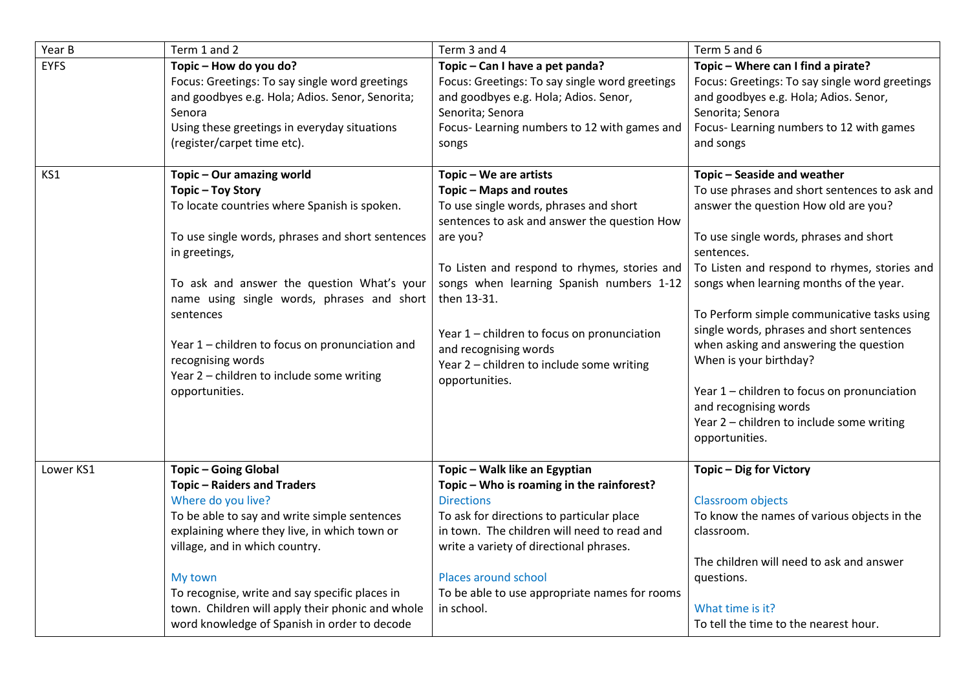| Year B      | Term 1 and 2                                     | Term 3 and 4                                   | Term 5 and 6                                   |  |
|-------------|--------------------------------------------------|------------------------------------------------|------------------------------------------------|--|
| <b>EYFS</b> | Topic - How do you do?                           | Topic - Can I have a pet panda?                | Topic - Where can I find a pirate?             |  |
|             | Focus: Greetings: To say single word greetings   | Focus: Greetings: To say single word greetings | Focus: Greetings: To say single word greetings |  |
|             | and goodbyes e.g. Hola; Adios. Senor, Senorita;  | and goodbyes e.g. Hola; Adios. Senor,          | and goodbyes e.g. Hola; Adios. Senor,          |  |
|             | Senora                                           | Senorita; Senora                               | Senorita; Senora                               |  |
|             | Using these greetings in everyday situations     | Focus- Learning numbers to 12 with games and   | Focus-Learning numbers to 12 with games        |  |
|             | (register/carpet time etc).                      | songs                                          | and songs                                      |  |
| KS1         | Topic - Our amazing world                        | Topic - We are artists                         | Topic - Seaside and weather                    |  |
|             | Topic - Toy Story                                | Topic - Maps and routes                        | To use phrases and short sentences to ask and  |  |
|             | To locate countries where Spanish is spoken.     | To use single words, phrases and short         | answer the question How old are you?           |  |
|             |                                                  | sentences to ask and answer the question How   |                                                |  |
|             | To use single words, phrases and short sentences | are you?                                       | To use single words, phrases and short         |  |
|             | in greetings,                                    |                                                | sentences.                                     |  |
|             |                                                  | To Listen and respond to rhymes, stories and   | To Listen and respond to rhymes, stories and   |  |
|             | To ask and answer the question What's your       | songs when learning Spanish numbers 1-12       | songs when learning months of the year.        |  |
|             | name using single words, phrases and short       | then 13-31.                                    |                                                |  |
|             | sentences                                        |                                                | To Perform simple communicative tasks using    |  |
|             |                                                  | Year 1 - children to focus on pronunciation    | single words, phrases and short sentences      |  |
|             | Year 1 - children to focus on pronunciation and  | and recognising words                          | when asking and answering the question         |  |
|             | recognising words                                | Year 2 - children to include some writing      | When is your birthday?                         |  |
|             | Year 2 - children to include some writing        | opportunities.                                 |                                                |  |
|             | opportunities.                                   |                                                | Year 1 - children to focus on pronunciation    |  |
|             |                                                  |                                                | and recognising words                          |  |
|             |                                                  |                                                | Year 2 - children to include some writing      |  |
|             |                                                  |                                                | opportunities.                                 |  |
| Lower KS1   | <b>Topic - Going Global</b>                      | Topic - Walk like an Egyptian                  | Topic - Dig for Victory                        |  |
|             | <b>Topic - Raiders and Traders</b>               | Topic - Who is roaming in the rainforest?      |                                                |  |
|             | Where do you live?                               | <b>Directions</b>                              | <b>Classroom objects</b>                       |  |
|             | To be able to say and write simple sentences     | To ask for directions to particular place      | To know the names of various objects in the    |  |
|             | explaining where they live, in which town or     | in town. The children will need to read and    | classroom.                                     |  |
|             | village, and in which country.                   | write a variety of directional phrases.        |                                                |  |
|             |                                                  |                                                | The children will need to ask and answer       |  |
|             | My town                                          | Places around school                           | questions.                                     |  |
|             | To recognise, write and say specific places in   | To be able to use appropriate names for rooms  |                                                |  |
|             | town. Children will apply their phonic and whole | in school.                                     | What time is it?                               |  |
|             | word knowledge of Spanish in order to decode     |                                                | To tell the time to the nearest hour.          |  |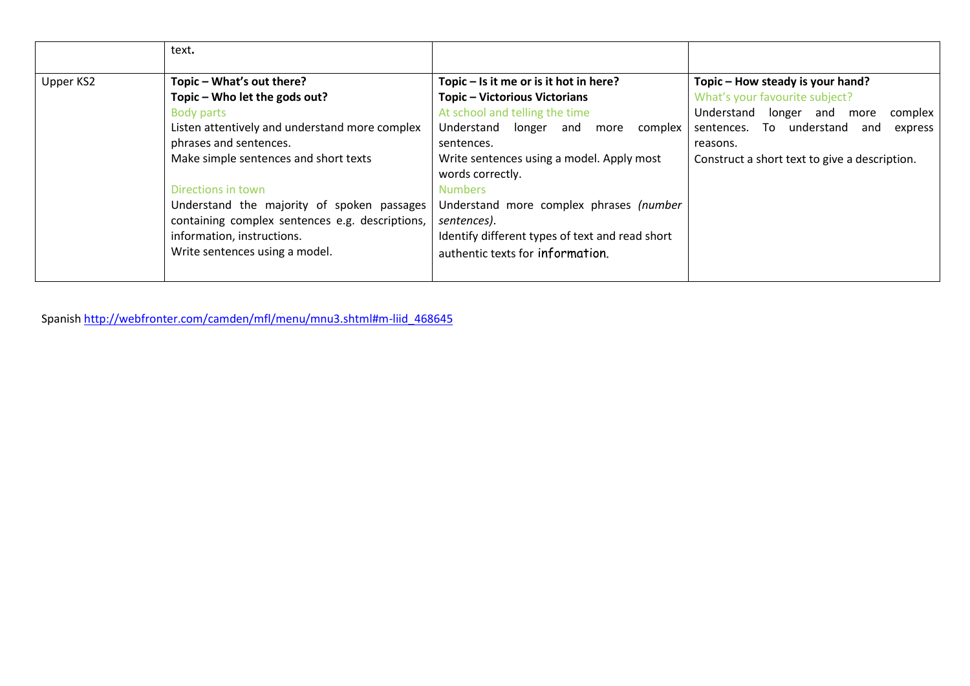|           | text.                                           |                                                 |                                               |  |  |
|-----------|-------------------------------------------------|-------------------------------------------------|-----------------------------------------------|--|--|
| Upper KS2 | Topic - What's out there?                       | Topic $-$ Is it me or is it hot in here?        | Topic - How steady is your hand?              |  |  |
|           | Topic - Who let the gods out?                   | <b>Topic - Victorious Victorians</b>            | What's your favourite subject?                |  |  |
|           | <b>Body parts</b>                               | At school and telling the time                  | Understand longer and<br>more<br>complex      |  |  |
|           | Listen attentively and understand more complex  | Understand longer and<br>more<br>complex        | To understand<br>sentences.<br>express<br>and |  |  |
|           | phrases and sentences.                          | sentences.                                      | reasons.                                      |  |  |
|           | Make simple sentences and short texts           | Write sentences using a model. Apply most       | Construct a short text to give a description. |  |  |
|           |                                                 | words correctly.                                |                                               |  |  |
|           | Directions in town                              | <b>Numbers</b>                                  |                                               |  |  |
|           | Understand the majority of spoken passages      | Understand more complex phrases (number         |                                               |  |  |
|           | containing complex sentences e.g. descriptions, | sentences).                                     |                                               |  |  |
|           | information, instructions.                      | Identify different types of text and read short |                                               |  |  |
|           | Write sentences using a model.                  | authentic texts for information.                |                                               |  |  |
|           |                                                 |                                                 |                                               |  |  |

Spanish [http://webfronter.com/camden/mfl/menu/mnu3.shtml#m-liid\\_468645](http://webfronter.com/camden/mfl/menu/mnu3.shtml#m-liid_468645)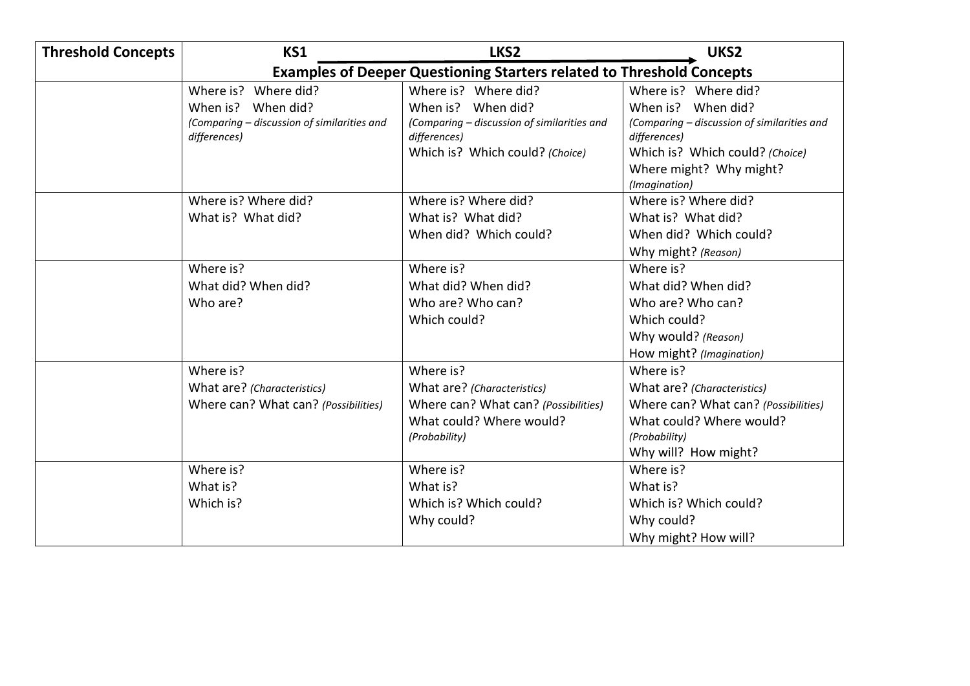| <b>Threshold Concepts</b> | KS1                                                                          | UKS2                                        |                                             |  |  |
|---------------------------|------------------------------------------------------------------------------|---------------------------------------------|---------------------------------------------|--|--|
|                           | <b>Examples of Deeper Questioning Starters related to Threshold Concepts</b> |                                             |                                             |  |  |
|                           | Where is? Where did?                                                         | Where is? Where did?                        | Where is? Where did?                        |  |  |
|                           | When is? When did?                                                           | When did?<br>When is?                       | When is? When did?                          |  |  |
|                           | (Comparing - discussion of similarities and                                  | (Comparing - discussion of similarities and | (Comparing - discussion of similarities and |  |  |
|                           | differences)                                                                 | differences)                                | differences)                                |  |  |
|                           |                                                                              | Which is? Which could? (Choice)             | Which is? Which could? (Choice)             |  |  |
|                           |                                                                              |                                             | Where might? Why might?                     |  |  |
|                           | Where is? Where did?                                                         | Where is? Where did?                        | (Imagination)<br>Where is? Where did?       |  |  |
|                           | What is? What did?                                                           | What is? What did?                          | What is? What did?                          |  |  |
|                           |                                                                              | When did? Which could?                      | When did? Which could?                      |  |  |
|                           |                                                                              |                                             | Why might? (Reason)                         |  |  |
|                           | Where is?                                                                    | Where is?                                   | Where is?                                   |  |  |
|                           | What did? When did?                                                          | What did? When did?                         | What did? When did?                         |  |  |
|                           | Who are?                                                                     | Who are? Who can?                           | Who are? Who can?                           |  |  |
|                           |                                                                              | Which could?                                | Which could?                                |  |  |
|                           |                                                                              |                                             | Why would? (Reason)                         |  |  |
|                           |                                                                              |                                             | How might? (Imagination)                    |  |  |
|                           | Where is?                                                                    | Where is?                                   | Where is?                                   |  |  |
|                           | What are? (Characteristics)                                                  | What are? (Characteristics)                 | What are? (Characteristics)                 |  |  |
|                           | Where can? What can? (Possibilities)                                         | Where can? What can? (Possibilities)        | Where can? What can? (Possibilities)        |  |  |
|                           |                                                                              | What could? Where would?                    | What could? Where would?                    |  |  |
|                           |                                                                              | (Probability)                               | (Probability)                               |  |  |
|                           |                                                                              |                                             | Why will? How might?                        |  |  |
|                           | Where is?                                                                    | Where is?                                   | Where is?                                   |  |  |
|                           | What is?                                                                     | What is?                                    | What is?                                    |  |  |
|                           | Which is?                                                                    | Which is? Which could?                      | Which is? Which could?                      |  |  |
|                           |                                                                              | Why could?                                  | Why could?                                  |  |  |
|                           |                                                                              |                                             | Why might? How will?                        |  |  |